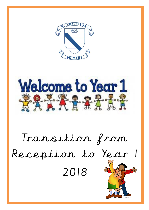

Welcome to Year 1 **学会关系条件需要** 

# Transition from Reception to Year 2018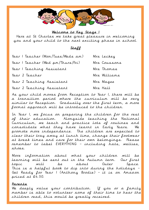

### Welcome to Key Stage 1

Here at St Charles we take great pleasure in welcoming you and your child to the next exciting phase in school.

### Staff

| Year I Teacher (Mon/Tues/Weds am) | Mrs Leckey   |
|-----------------------------------|--------------|
| Year I Teacher (Wed pm/Thurs/Fri) | Mrs Coussons |
| Year I Teaching Assistant         | Mrs Thomas   |
| Year 2 Teacher                    | Mrs Williams |
| Year 2 Teaching Assistant         | Mrs Magee    |
| Year 2 Teaching Assistant         | Mrs Hall     |

As your child moves from Reception to Year 1, there will be a transition period where the curriculum will be very similar to Reception. Gradually over the first term, a more formal approach will be introduced to the children.

In Year 1, we focus on preparing the children for the rest of their education. Alongside teaching the National Curriculum, we teach and practice lots of routines and consolidate what they have learnt in Early Years. We promote more independence. The children are expected to clear their tray away at lunch time, change their footwear at break times and care for their own belongings. Please remember to label EVERYTHING – including hats, wellies, shoes.

More information about what your children will be learning will be sent out in the Autumn term. Our first topic will be about Outer Space. This is a helpful book to dip into during the holidays – Get Ready for Year 1 (Anthony Brodie) – it is on Amazon priced at £4.50.

### Parents

We deeply value your contribution. If you or a family member is able to volunteer some of their time to hear the children read, this would be greatly received.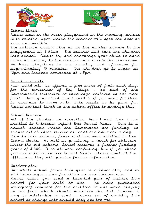



### School times

Please wait in the main playground in the morning, unless it is raining, upon which the teacher will open the door as soon as possible.

The children should line up on the number square in the playground at 8.55am. The teacher will take the children into school. Please try and encourage your child to hand notes and money to the teacher once inside the classroom. We have playtimes in the morning and afternoon for approximately 15 minutes. The children go to lunch at 12pm and lessons commence at 1.15pm.

# Snack and milk

Your child will be offered a free piece of fruit each day, for the remainder of Key Stage 1, as part of the Government's initiative to encourage children to eat more fruit. Once your child has turned 5, if you wish for them to continue to have milk, this needs to be paid for. Please contact Sarah in the school office to arrange this.

# School Dinners

All of the children in Reception, Year 1 and Year 2 are entitled to Universal Infant Free School Meals. This is a newish scheme which the Government are funding, to ensure all children receive at least one hot meal a day. Prior to this scheme, fewer children were entitled to Free School Meals. As well as providing a lunch for children under the old scheme, School receives a further funding grant of £1300. It is all very confusing, but if you think you are entitled to Free School Meals, please contact the office and they will provide further information.

# Outdoor play

Our whole school focus this year is outdoor play and we will be using our new facilities as much as we can. Please could you send a labelled pair of wellies into school for your child to use. We have purchased

waterproof trousers for the children to use when playing on the field which should minimise the dirt, however it may be advisable to send a spare set of clothing into school to change into should they get too wet.